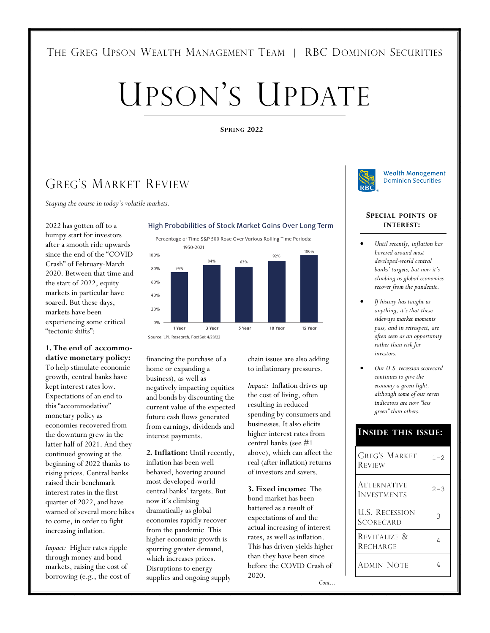## THE GREG UPSON WEALTH MANAGEMENT TEAM | RBC DOMINION SECURITIES

# UPSON'S UPDATE

#### **SPRING 2022**

## GREG'S MARKET REVIEW

*Staying the course in today's volatile markets.*

2022 has gotten off to a bumpy start for investors after a smooth ride upwards since the end of the "COVID Crash" of February-March 2020. Between that time and the start of 2022, equity markets in particular have soared. But these days, markets have been experiencing some critical "tectonic shifts":

**1. The end of accommodative monetary policy:** To help stimulate economic growth, central banks have kept interest rates low. Expectations of an end to this "accommodative" monetary policy as economies recovered from the downturn grew in the latter half of 2021. And they continued growing at the beginning of 2022 thanks to rising prices. Central banks raised their benchmark interest rates in the first quarter of 2022, and have warned of several more hikes to come, in order to fight increasing inflation.

*Impact:* Higher rates ripple through money and bond markets, raising the cost of borrowing (e.g., the cost of

#### High Probabilities of Stock Market Gains Over Long Term

Percentage of Time S&P 500 Rose Over Various Rolling Time Periods:



financing the purchase of a home or expanding a business), as well as negatively impacting equities and bonds by discounting the current value of the expected future cash flows generated from earnings, dividends and interest payments.

**2. Inflation:** Until recently, inflation has been well behaved, hovering around most developed-world central banks' targets. But now it's climbing dramatically as global economies rapidly recover from the pandemic. This higher economic growth is spurring greater demand, which increases prices. Disruptions to energy supplies and ongoing supply

chain issues are also adding to inflationary pressures.

*Impact:* Inflation drives up the cost of living, often resulting in reduced spending by consumers and businesses. It also elicits higher interest rates from central banks (see #1 above), which can affect the real (after inflation) returns of investors and savers.

**3. Fixed income:** The bond market has been battered as a result of expectations of and the actual increasing of interest rates, as well as inflation. This has driven yields higher than they have been since before the COVID Crash of 2020.

*Cont...* 



**Wealth Management Dominion Securities** 

#### **SPECIAL POINTS OF INTEREST:**

- *Until recently, inflation has hovered around most developed-world central banks' targets, but now it's climbing as global economies recover from the pandemic.*
- *If history has taught us anything, it's that these sideways market moments pass, and in retrospect, are often seen as an opportunity rather than risk for investors.*
- *Our U.S. recession scorecard continues to give the economy a green light, although some of our seven indicators are now "less green" than others.*

#### **INSIDE THIS ISSUE:**

| <b>REVIEW</b>                            |         |
|------------------------------------------|---------|
| <b>ALTERNATIVE</b><br><b>INVESTMENTS</b> | $2 - 3$ |
| <b>U.S. RECESSION</b><br>Scorecard       |         |
| REVITALIZE &<br><b>RECHARGE</b>          |         |
| Admin Note                               |         |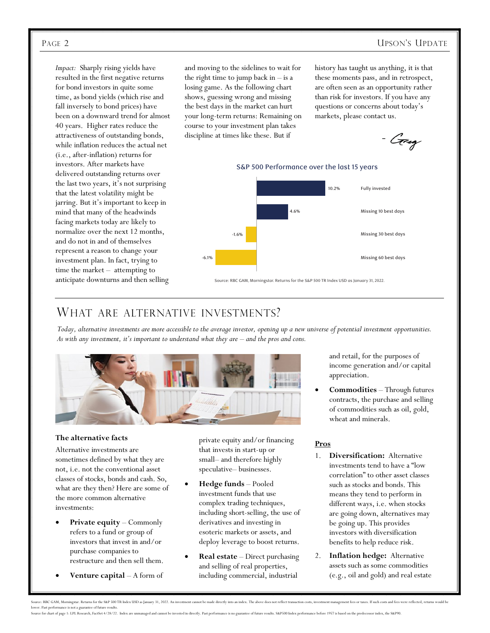### PAGE 2 UPSON'S UPDATE

*Impact:* Sharply rising yields have resulted in the first negative returns for bond investors in quite some time, as bond yields (which rise and fall inversely to bond prices) have been on a downward trend for almost 40 years. Higher rates reduce the attractiveness of outstanding bonds, while inflation reduces the actual net (i.e., after-inflation) returns for investors. After markets have delivered outstanding returns over the last two years, it's not surprising that the latest volatility might be jarring. But it's important to keep in mind that many of the headwinds facing markets today are likely to normalize over the next 12 months, and do not in and of themselves represent a reason to change your investment plan. In fact, trying to time the market – attempting to anticipate downturns and then selling

and moving to the sidelines to wait for the right time to jump back in  $-$  is a losing game. As the following chart shows, guessing wrong and missing the best days in the market can hurt your long-term returns: Remaining on course to your investment plan takes discipline at times like these. But if

history has taught us anything, it is that these moments pass, and in retrospect, are often seen as an opportunity rather than risk for investors. If you have any questions or concerns about today's markets, please contact us.

- C<del>ir</del>eg



## WHAT ARE ALTERNATIVE INVESTMENTS?

*Today, alternative investments are more accessible to the average investor, opening up a new universe of potential investment opportunities. As with any investment, it's important to understand what they are – and the pros and cons.* 



#### **The alternative facts**

Alternative investments are sometimes defined by what they are not, i.e. not the conventional asset classes of stocks, bonds and cash. So, what are they then? Here are some of the more common alternative investments:

- **Private equity**  Commonly refers to a fund or group of investors that invest in and/or purchase companies to restructure and then sell them.
- **Venture capital**  A form of

private equity and/or financing that invests in start-up or small– and therefore highly speculative– businesses.

- **Hedge funds**  Pooled investment funds that use complex trading techniques, including short-selling, the use of derivatives and investing in esoteric markets or assets, and deploy leverage to boost returns.
- **Real estate**  Direct purchasing and selling of real properties, including commercial, industrial

and retail, for the purposes of income generation and/or capital appreciation.

 **Commodities** – Through futures contracts, the purchase and selling of commodities such as oil, gold, wheat and minerals.

#### **Pros**

- 1. **Diversification:** Alternative investments tend to have a "low correlation" to other asset classes such as stocks and bonds. This means they tend to perform in different ways, i.e. when stocks are going down, alternatives may be going up. This provides investors with diversification benefits to help reduce risk.
- 2. **Inflation hedge:** Alternative assets such as some commodities (e.g., oil and gold) and real estate

Source: RBC GAM, Morningstar. Returns for the SRP 500 TR Index USD as January 31, 2022. An investment cannot be made directly into an index. The above does not reflect transaction costs, investment fears or taxes. If such lower. Past performance is not a guarantee of future re Source for chart of page 1: LPL Research, FactSet 4/28/22. Index are unmanaged and cannot be invested in directly. Past performance is no guarantee of future results. S&P500 Index performance before 1957 is based on the pr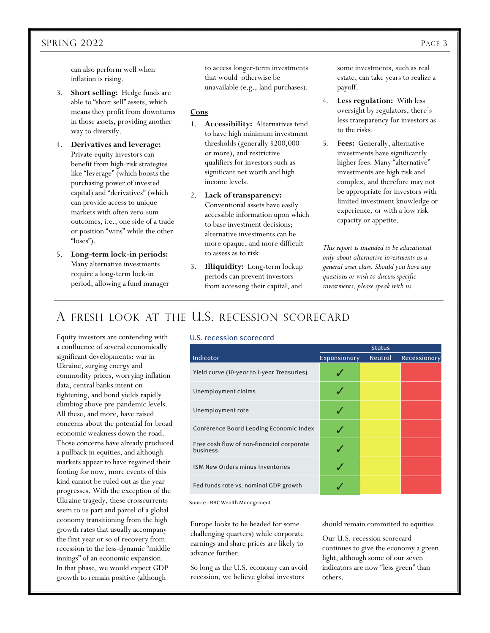#### SPRING 2022 PAGE 3

can also perform well when inflation is rising.

- 3. **Short selling:** Hedge funds are able to "short sell" assets, which means they profit from downturns in those assets, providing another way to diversify.
- 4. **Derivatives and leverage:** Private equity investors can benefit from high-risk strategies like "leverage" (which boosts the purchasing power of invested capital) and "derivatives" (which can provide access to unique markets with often zero-sum outcomes, i.e., one side of a trade or position "wins" while the other "loses").
- 5. **Long-term lock-in periods:** Many alternative investments require a long-term lock-in period, allowing a fund manager

to access longer-term investments that would otherwise be unavailable (e.g., land purchases).

#### **Cons**

- 1. **Accessibility:** Alternatives tend to have high minimum investment thresholds (generally \$200,000 or more), and restrictive qualifiers for investors such as significant net worth and high income levels.
- 2. **Lack of transparency:** Conventional assets have easily accessible information upon which to base investment decisions; alternative investments can be more opaque, and more difficult to assess as to risk.
- 3. **Illiquidity:** Long-term lockup periods can prevent investors from accessing their capital, and

some investments, such as real estate, can take years to realize a payoff.

- 4. **Less regulation:** With less oversight by regulators, there's less transparency for investors as to the risks.
- 5. **Fees:** Generally, alternative investments have significantly higher fees. Many "alternative" investments are high risk and complex, and therefore may not be appropriate for investors with limited investment knowledge or experience, or with a low risk capacity or appetite.

*This report is intended to be educational only about alternative investments as a general asset class. Should you have any questions or wish to discuss specific investments, please speak with us.* 

## A FRESH LOOK AT THE U.S. RECESSION SCORECARD

Equity investors are contending with a confluence of several economically significant developments: war in Ukraine, surging energy and commodity prices, worrying inflation data, central banks intent on tightening, and bond yields rapidly climbing above pre-pandemic levels. All these, and more, have raised concerns about the potential for broad economic weakness down the road. Those concerns have already produced a pullback in equities, and although markets appear to have regained their footing for now, more events of this kind cannot be ruled out as the year progresses. With the exception of the Ukraine tragedy, these crosscurrents seem to us part and parcel of a global economy transitioning from the high growth rates that usually accompany the first year or so of recovery from recession to the less-dynamic "middle innings" of an economic expansion. In that phase, we would expect GDP growth to remain positive (although

#### U.S. recession scorecard

|                                                       | <b>Status</b> |                |              |
|-------------------------------------------------------|---------------|----------------|--------------|
| Indicator                                             | Expansionary  | <b>Neutral</b> | Recessionary |
| Yield curve (10-year to 1-year Treasuries)            |               |                |              |
| Unemployment claims                                   |               |                |              |
| Unemployment rate                                     |               |                |              |
| Conference Board Leading Economic Index               |               |                |              |
| Free cash flow of non-financial corporate<br>business |               |                |              |
| ISM New Orders minus Inventories                      |               |                |              |
| Fed funds rate vs. nominal GDP growth                 |               |                |              |
|                                                       |               |                |              |

Source - RBC Wealth Management

Europe looks to be headed for some challenging quarters) while corporate earnings and share prices are likely to advance further.

So long as the U.S. economy can avoid recession, we believe global investors

should remain committed to equities.

Our U.S. recession scorecard continues to give the economy a green light, although some of our seven indicators are now "less green" than others.